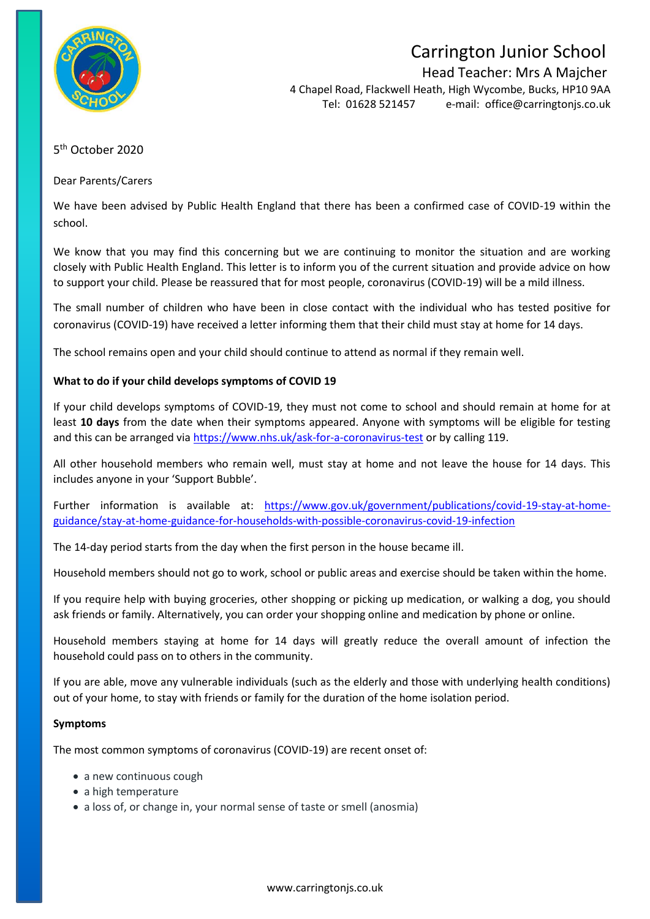

# Carrington Junior School

Head Teacher: Mrs A Majcher

4 Chapel Road, Flackwell Heath, High Wycombe, Bucks, HP10 9AA Tel: 01628 521457 e-mail: [office@carringtonjs.co.uk](mailto:office@carringtonjs.co.uk)

# 5<sup>th</sup> October 2020

Dear Parents/Carers

We have been advised by Public Health England that there has been a confirmed case of COVID-19 within the school.

We know that you may find this concerning but we are continuing to monitor the situation and are working closely with Public Health England. This letter is to inform you of the current situation and provide advice on how to support your child. Please be reassured that for most people, coronavirus (COVID-19) will be a mild illness.

The small number of children who have been in close contact with the individual who has tested positive for coronavirus (COVID-19) have received a letter informing them that their child must stay at home for 14 days.

The school remains open and your child should continue to attend as normal if they remain well.

# **What to do if your child develops symptoms of COVID 19**

If your child develops symptoms of COVID-19, they must not come to school and should remain at home for at least **10 days** from the date when their symptoms appeared. Anyone with symptoms will be eligible for testing and this can be arranged via<https://www.nhs.uk/ask-for-a-coronavirus-test> or by calling 119.

All other household members who remain well, must stay at home and not leave the house for 14 days. This includes anyone in your 'Support Bubble'.

Further information is available at: [https://www.gov.uk/government/publications/covid-19-stay-at-home](https://www.gov.uk/government/publications/covid-19-stay-at-home-guidance/stay-at-home-guidance-for-households-with-possible-coronavirus-covid-19-infection)[guidance/stay-at-home-guidance-for-households-with-possible-coronavirus-covid-19-infection](https://www.gov.uk/government/publications/covid-19-stay-at-home-guidance/stay-at-home-guidance-for-households-with-possible-coronavirus-covid-19-infection)

The 14-day period starts from the day when the first person in the house became ill.

Household members should not go to work, school or public areas and exercise should be taken within the home.

If you require help with buying groceries, other shopping or picking up medication, or walking a dog, you should ask friends or family. Alternatively, you can order your shopping online and medication by phone or online.

Household members staying at home for 14 days will greatly reduce the overall amount of infection the household could pass on to others in the community.

If you are able, move any vulnerable individuals (such as the elderly and those with underlying health conditions) out of your home, to stay with friends or family for the duration of the home isolation period.

#### **Symptoms**

The most common symptoms of coronavirus (COVID-19) are recent onset of:

- a new continuous cough
- a high temperature
- a loss of, or change in, your normal sense of taste or smell (anosmia)